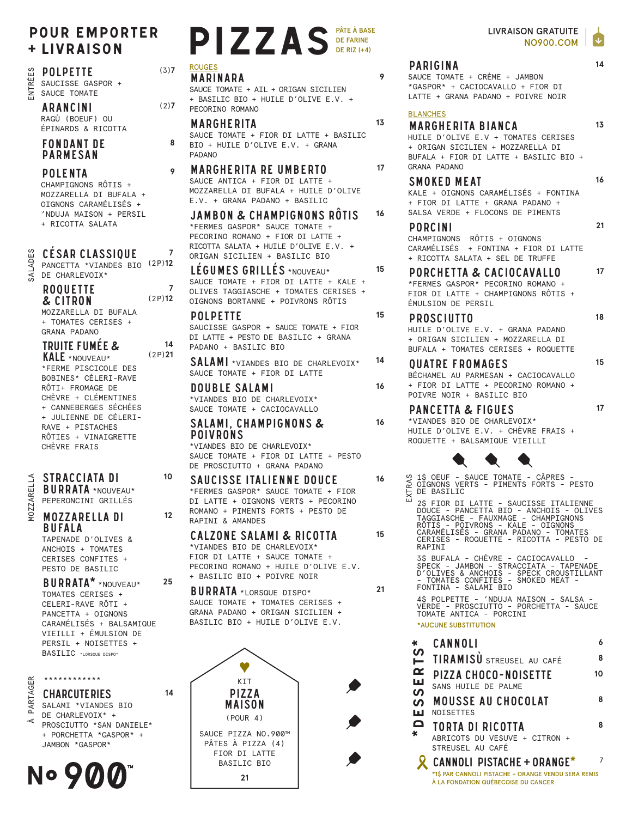## **POUR EMPORTER** + LIVRAISON

#### **POLPETTE**

ENTRÉE SAUCTSSE GASPOR + SAUCE TOMATE

> **ARANCINI** RAGÙ (BOEUF) OU ÉPINARDS & RICOTTA

#### **FONDANT DE PARMESAN**

**POLENTA** CHAMPIGNONS RÔTIS + MOZZARELLA DI BUFALA + OIGNONS CARAMÉLISÉS + 'NDUJA MAISON + PERSIL + RICOTTA SALATA

### **CESAR CLASSIQUE** SALADES

PANCETTA \*VIANDES BIO (2P)12 DE CHARLEVOIX\*

| <b>ROOUETTE</b><br>& CITRON | (2P)12 |
|-----------------------------|--------|
| MOZZARELLA DI BUFALA        |        |
| + TOMATES CERISES +         |        |

**GRANA PADANO TRUITE FUMÉE &** 

 $(2P)21$ **KALE \*NOUVEAU\*** \*FERME PISCICOLE DES BOBINES\* CÉLERI-RAVE RÔTT+ FROMAGE DE CHÈVRE + CLÉMENTINES + CANNEBERGES SÉCHÉES + JULIENNE DE CÉLERI-RAVE + PISTACHES RÔTIES + VINAIGRETTE CHÈVRE FRATS

# MOZZARELLA

**BURRATA \*NOUVEAU\*** PEPERONCINI GRILLÉS

STRACCIATA DI

#### **MOZZARELLA DI BUFALA**

TAPENADE D'OLIVES & ANCHOTS + TOMATES CERISES CONFITES + PESTO DE BASILIC

**BURRATA\*** \*NOUVEAU\* TOMATES CERISES + CELERI-RAVE RÔTI + PANCETTA + OTGNONS CARAMÉLISÉS + BALSAMIQUE VIEILLI + ÉMULSION DE PERSIL + NOISETTES + BASILIC \*LORSQUE DISPO\*

# \*\*\*\*\*\*\*\*\*\*\*\* PARTAGER

**CHARCUTERIES** SALAMI \*VIANDES BIO

DE CHARLEVOIX\* + ⋖ PROSCTUTTO \*SAN DANTELE\* + PORCHETTA \*GASPOR\* + JAMBON \*GASPOR\*

# **No 900**

# PIZZAS DE FARINE **ROUGES**

#### $(3)7$ **MARINARA**

 $(2)7$ 

 $\mathbf{a}$ 

9

 $\overline{7}$ 

 $14$ 

SAUCE TOMATE + AIL + ORIGAN SICILIEN + BASTLIC BIO + HUTLE D'OLIVE F.V. + PECORINO ROMANO

MARGHERITA SAUCE TOMATE + FIOR DI LATTE + BASILIC BIO + HUILE D'OLIVE E.V. + GRANA **PADANO** 

#### **MARGHERITA RE UMBERTO** SAUCE ANTICA + FIOR DI LATTE +

MOZZARELLA DI BUFALA + HUILE D'OLIVE E.V. + GRANA PADANO + BASILIC

JAMBON & CHAMPIGNONS RÖTIS \*FERMES GASPOR\* SAUCE TOMATE + PECORINO ROMANO + FIOR DI LATTE + RICOTTA SALATA + HUILE D'OLIVE E.V. + ORIGAN SICILIEN + BASILIC BIO

#### LEGUMES GRILLES \*NOUVEAU\*

SAUCE TOMATE + FIOR DI LATTE + KALE + OLIVES TAGGIASCHE + TOMATES CERISES + OIGNONS BORTANNE + POIVRONS RÔTIS

#### **POLPETTE**

SAUCISSE GASPOR + SAUCE TOMATE + FIOR DI LATTE + PESTO DE BASILIC + GRANA PADANO + BASTLIC BIO

**SALAMI** \*VIANDES BIO DE CHARLEVOIX\* SAUCE TOMATE + FIOR DI LATTE

**DOUBLE SALAMI** \*VIANDES BIO DE CHARLEVOIX\* SAUCE TOMATE + CACIOCAVALLO

#### SALAMI. CHAMPIGNONS & **POIVRONS**

\*VIANDES BIO DE CHARLEVOIX\* SAUCE TOMATE + FTOR DT LATTE + PESTO DE PROSCIUTTO + GRANA PADANO

**SAUCISSE ITALIENNE DOUCE** \*FERMES GASPOR\* SAUCE TOMATE + FIOR DI LATTE + OIGNONS VERTS + PECORINO ROMANO + PIMENTS FORTS + PESTO DE RAPTNT & AMANDES

#### **CALZONE SALAMI & RICOTTA**

\*VIANDES BIO DE CHARLEVOIX\* FTOR DT LATTE + SAUCE TOMATE + PECORINO ROMANO + HUILE D'OLIVE E.V. + BASILIC BIO + POIVRE NOIR



# **PARIGINA**

SAUCE TOMATE + CRÈME + JAMBON \*GASPOR\* + CACIOCAVALLO + FIOR DI LATTE + GRANA PADANO + POIVRE NOIR

#### **BLANCHES**

9

13

 $17$ 

16

15

15

14

16

16

16

15

 $21$ 

**MARGHERITA BIANCA** HUILE D'OLIVE E.V + TOMATES CERISES + ORIGAN SICILIEN + MOZZARELLA DI BUFALA + FIOR DI LATTE + BASILIC BIO + GRANA PADANO

#### **SMOKED MEAT**

 $16$ 

 $21$ 

 $17$ 

 $14$ 

13

KALE + OIGNONS CARAMÉLISÉS + FONTINA + FIOR DI LATTE + GRANA PADANO + SALSA VERDE + FLOCONS DE PIMENTS

#### **PORCINI**

CHAMPIGNONS RÔTIS + OIGNONS CARAMÉLISÉS + FONTINA + FIOR DI LATTE + RICOTTA SALATA + SEL DE TRUFFE

## PORCHETTA & CACIOCAVALLO

\*FERMES GASPOR\* PECORINO ROMANO + FIOR DI LATTE + CHAMPIGNONS RÔTIS + ÉMULSION DE PERSIL

#### **PROSCIUTTO**

18

15

 $17$ 

HUILE D'OLIVE E.V. + GRANA PADANO + ORIGAN SICILIEN + MOZZARELLA DI BUFALA + TOMATES CERISES + ROQUETTE

#### **OUATRE FROMAGES**

BÉCHAMEL AU PARMESAN + CACIOCAVALLO + FIOR DI LATTE + PECORINO ROMANO + POTVRE NOTR + BASTLIC BIO

#### **PANCETTA & FIGUES**

\*VIANDES BIO DE CHARLEVOIX\* HUILE D'OLIVE E.V. + CHÈVRE FRAIS + ROQUETTE + BALSAMIQUE VIEILLI



1\$ OEUF - SAUCE TOMATE - CÂPRES -Ê OIGNONS VERTS - PIMENTS FORTS - PESTO DE BASILIC EXT

2\$ FIOR DI LATTE - SAUCISSE ITALIENNE ZS FIUR DI LATTE - SAUCISSE ITALIENNE<br>DOUCE - PANCETTA BIO - ANCHOIS - OLIVES<br>TAGGIASCHE - FAUXMAGE - CHAMPIGNONS<br>ROTIS - POIVRONS - KALE - OIGNONS<br>CARAMÉLISÉS - GRANA PADANO - TOMATES<br>CERISES - ROQUETTE - RICOTTA - PESTO RAPINI

3\$ BUFALA - CHÈVRE - CACIOCAVALLO -<br>SPECK - JAMBON - STRACCIATA - TAPENADE<br>D'OLIVES & ANCHOIS - SPECK CROUSTILLANT<br>- TOMATES CONFITES - SMOKED MEAT -<br>FONTINA - SALAMI BIO

4\$ POLPETTE - 'NDUJA MAISON - SALSA 43 FULLETTE - NUDUS MAISON - SALSA<br>TERDE - PROSCIUTTO - PORCHETTA - SAUCE<br>TOMATE ANTICA - PORCINI

#### \*AUCUNE SUBSTITUTION

| $\ast$             | CANNOLI                                                                                                                         |    |
|--------------------|---------------------------------------------------------------------------------------------------------------------------------|----|
| $\overline{S}$     | <b>TIRAMISU</b> STREUSEL AU CAFÉ                                                                                                | 8  |
| $\alpha$<br>靣<br>ທ | PIZZA CHOCO-NOISETTE<br>SANS HUILE DE PALME                                                                                     | 10 |
| ഗ<br>ш             | <b>MOUSSE AU CHOCOLAT</b><br>NOISETTES                                                                                          | 8  |
| Q<br>×             | <b>TORTA DI RICOTTA</b><br>ABRICOTS DU VESUVE + CITRON +<br>STREUSEL AU CAFÉ                                                    | 8  |
|                    | <b>CANNOLI PISTACHE + ORANGE*</b><br>*1\$ PAR CANNOLI PISTACHE + ORANGE VENDU SERA REMIS<br>À LA FONDATION QUÉBECOISE DU CANCER |    |

# $12$

10

25

 $14$ 

**BURRATA** \*LORSQUE DISPO\* SAUCE TOMATE + TOMATES CERISES + GRANA PADANO + ORIGAN SICILIEN + BASILIC BIO + HUILE D'OLIVE E.V.